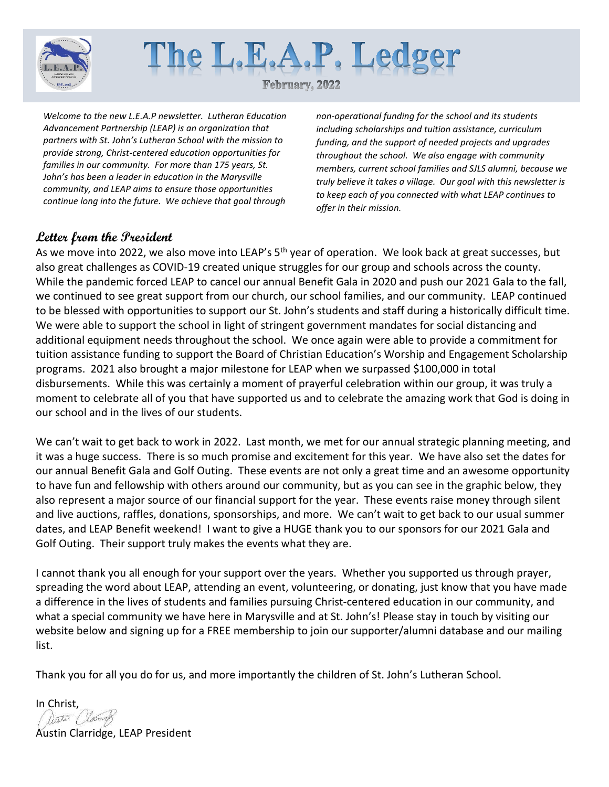



*Welcome to the new L.E.A.P newsletter. Lutheran Education Advancement Partnership (LEAP) is an organization that partners with St. John's Lutheran School with the mission to provide strong, Christ-centered education opportunities for families in our community. For more than 175 years, St. John's has been a leader in education in the Marysville community, and LEAP aims to ensure those opportunities continue long into the future. We achieve that goal through* 

*non-operational funding for the school and its students including scholarships and tuition assistance, curriculum funding, and the support of needed projects and upgrades throughout the school. We also engage with community members, current school families and SJLS alumni, because we truly believe it takes a village. Our goal with this newsletter is to keep each of you connected with what LEAP continues to offer in their mission.*

## **Letter from the President**

As we move into 2022, we also move into LEAP's 5<sup>th</sup> year of operation. We look back at great successes, but also great challenges as COVID-19 created unique struggles for our group and schools across the county. While the pandemic forced LEAP to cancel our annual Benefit Gala in 2020 and push our 2021 Gala to the fall, we continued to see great support from our church, our school families, and our community. LEAP continued to be blessed with opportunities to support our St. John's students and staff during a historically difficult time. We were able to support the school in light of stringent government mandates for social distancing and additional equipment needs throughout the school. We once again were able to provide a commitment for tuition assistance funding to support the Board of Christian Education's Worship and Engagement Scholarship programs. 2021 also brought a major milestone for LEAP when we surpassed \$100,000 in total disbursements. While this was certainly a moment of prayerful celebration within our group, it was truly a moment to celebrate all of you that have supported us and to celebrate the amazing work that God is doing in our school and in the lives of our students.

We can't wait to get back to work in 2022. Last month, we met for our annual strategic planning meeting, and it was a huge success. There is so much promise and excitement for this year. We have also set the dates for our annual Benefit Gala and Golf Outing. These events are not only a great time and an awesome opportunity to have fun and fellowship with others around our community, but as you can see in the graphic below, they also represent a major source of our financial support for the year. These events raise money through silent and live auctions, raffles, donations, sponsorships, and more. We can't wait to get back to our usual summer dates, and LEAP Benefit weekend! I want to give a HUGE thank you to our sponsors for our 2021 Gala and Golf Outing. Their support truly makes the events what they are.

I cannot thank you all enough for your support over the years. Whether you supported us through prayer, spreading the word about LEAP, attending an event, volunteering, or donating, just know that you have made a difference in the lives of students and families pursuing Christ-centered education in our community, and what a special community we have here in Marysville and at St. John's! Please stay in touch by visiting our website below and signing up for a FREE membership to join our supporter/alumni database and our mailing list.

Thank you for all you do for us, and more importantly the children of St. John's Lutheran School.

In Christ, listo (lamb Austin Clarridge, LEAP President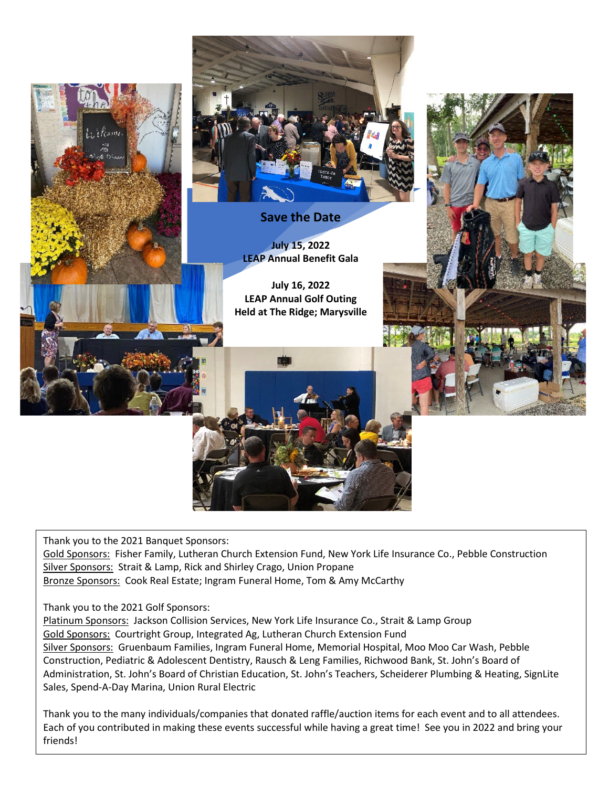

Thank you to the 2021 Banquet Sponsors:

Gold Sponsors: Fisher Family, Lutheran Church Extension Fund, New York Life Insurance Co., Pebble Construction Silver Sponsors: Strait & Lamp, Rick and Shirley Crago, Union Propane Bronze Sponsors: Cook Real Estate; Ingram Funeral Home, Tom & Amy McCarthy

Thank you to the 2021 Golf Sponsors:

Platinum Sponsors: Jackson Collision Services, New York Life Insurance Co., Strait & Lamp Group Gold Sponsors: Courtright Group, Integrated Ag, Lutheran Church Extension Fund Silver Sponsors: Gruenbaum Families, Ingram Funeral Home, Memorial Hospital, Moo Moo Car Wash, Pebble Construction, Pediatric & Adolescent Dentistry, Rausch & Leng Families, Richwood Bank, St. John's Board of Administration, St. John's Board of Christian Education, St. John's Teachers, Scheiderer Plumbing & Heating, SignLite Sales, Spend-A-Day Marina, Union Rural Electric

Thank you to the many individuals/companies that donated raffle/auction items for each event and to all attendees. Each of you contributed in making these events successful while having a great time! See you in 2022 and bring your friends!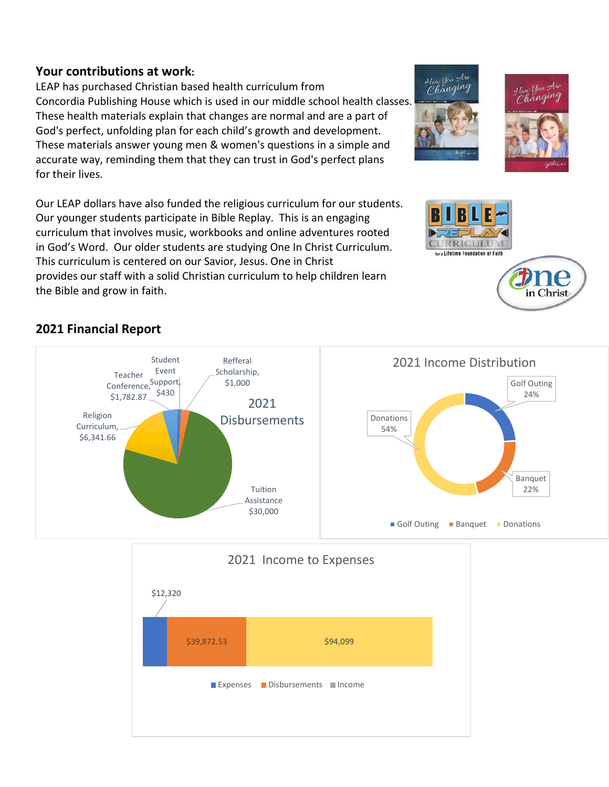## **Your contributions at work:**

LEAP has purchased Christian based health curriculum from Concordia Publishing House which is used in our middle school health classes. These health materials explain that changes are normal and are a part of God's perfect, unfolding plan for each child's growth and development. These materials answer young men & women's questions in a simple and accurate way, reminding them that they can trust in God's perfect plans for their lives.

Our LEAP dollars have also funded the religious curriculum for our students. Our younger students participate in Bible Replay. This is an engaging curriculum that involves music, workbooks and online adventures rooted in God's Word. Our older students are studying One In Christ Curriculum. This curriculum is centered on our Savior, Jesus. One in Christ provides our staff with a solid Christian curriculum to help children learn the Bible and grow in faith.

# **2021 Financial Report**